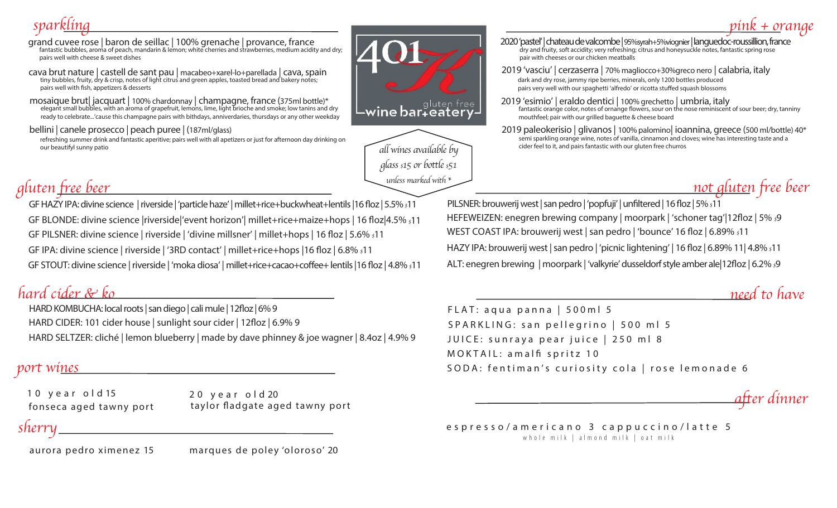# *sparkling*

- grand cuvee rose | baron de seillac | 100% grenache | provance, france<br>fantastic bubbles, aroma of peach, mandarin & lemon; white cherries and strawberries, medium acidity and dry; pairs well with cheese & sweet dishes
- cava brut nature | castell de sant pau | macabeo+xarel-lo+parellada | cava, spain tiny bubbles, fruity, dry & crisp, notes of light citrus and green apples, toasted bread and bakery notes; pairs well with fish, appetizers & desserts
- mosaique brut| jacquart | 100% chardonnay | champagne, france (375ml bottle)\*<br>elegant small bubbles, with an aroma of grapefruit, lemons, lime, light brioche and smoke; low tanins and dry ready to celebrate...'cause this champagne pairs with bithdays, anniverdaries, thursdays or any other weekday
- bellini | canele prosecco | peach puree | (187ml/glass)
- refreshing summer drink and fantastic aperitive; pairs well with all apetizers or just for afternoon day drinking on our beautifyl sunny patio
- wine bar+eatery\_



#### 2020 'pastel' | chateau de valcombe | 95%syrah+5%viognier | languedoc-roussillion, france dry and fruity, soft accidity; very refreshing; citrus and honeysuckle notes, fantastic spring rose pair with cheeses or our chicken meatballs

- dark and dry rose, jammy ripe berries, minerals, only 1200 bottles produced pairs very well with our spaghetti 'alfredo' or ricotta stuffed squash blossoms 2019 'vasciu' | cerzaserra | 70% magliocco+30%greco nero | calabria, italy
- 2019 'esimio' | eraldo dentici | 100% grechetto | umbria, italy<br>fantastic orange color, notes of ornange flowers, sour on the nose reminiscent of sour beer; dry, tanniny mouthfeel; pair with our grilled baguette & cheese board
- 2019 paleokerisio | glivanos | 100% palomino| ioannina, greece (500 ml/bottle) 40\* semi sparkling orange wine, notes of vanilla, cinnamon and cloves; wine has interesting taste and a cider feel to it, and pairs fantastic with our gluten free churros

# *gluten free beer*

GF HAZY IPA: divine science | riverside | 'particle haze' | millet+rice+buckwheat+lentils | 16 floz | 5.5% *\$*11 GF BLONDE: divine science |riverside|'event horizon'| millet+rice+maize+hops | 16 oz|4.5% *\$*11 GF PILSNER: divine science | riverside | 'divine millsner' | millet+hops | 16 floz | 5.6%  $\frac{1}{2}$ 11 GF IPA: divine science | riverside | '3RD contact' | millet+rice+hops |16 oz | 6.8% *\$*11 GF STOUT: divine science | riverside | 'moka diosa' | millet+rice+cacao+coffee+ lentils |16 floz | 4.8% \$11 ALT: enegren brewing | moorpark | 'valkyrie' dusseldorf style amber ale|12floz | 6.2% \$9

## *hard cider & ko*

HARD KOMBUCHA: local roots | san diego | cali mule | 12floz | 6% 9 HARD CIDER: 101 cider house | sunlight sour cider | 12floz | 6.9% 9 HARD SELTZER: cliché | lemon blueberry | made by dave phinney & joe wagner | 8.4oz | 4.9% 9

10 year old 15 20 year old 20

fonseca aged tawny port taylor fladgate aged tawny port

#### *sherry*

aurora pedro ximenez 15

marques de poley 'oloroso' 20

PILSNER: brouwerij west | san pedro | 'popfuji' | unfiltered | 16 floz | 5%  $\frac{11}{10}$ HEFEWEIZEN: enegren brewing company | moorpark | 'schoner tag'|12floz | 5%  $\beta$ WEST COAST IPA: brouwerij west | san pedro | 'bounce' 16 floz | 6.89%  $$11$ HAZY IPA: brouwerij west | san pedro | 'picnic lightening' | 16 floz | 6.89% 11 | 4.8%  $\frac{1}{2}$ 11

### *need to have*

*not gluten free beer*

*pink + orange*

FLAT: aqua panna | 500ml 5 SPARKLING: san pellegrino | 500 ml 5 JUICE: sunraya pear juice | 250 ml 8 MOKTAIL: amalfi spritz 10 *port wi<u>nes</u>* SODA: fentiman's curiosity cola | rose lemonade 6

*after dinner* 

espresso/americano 3 cappuccino/latte 5 whole milk | almond milk | oat milk